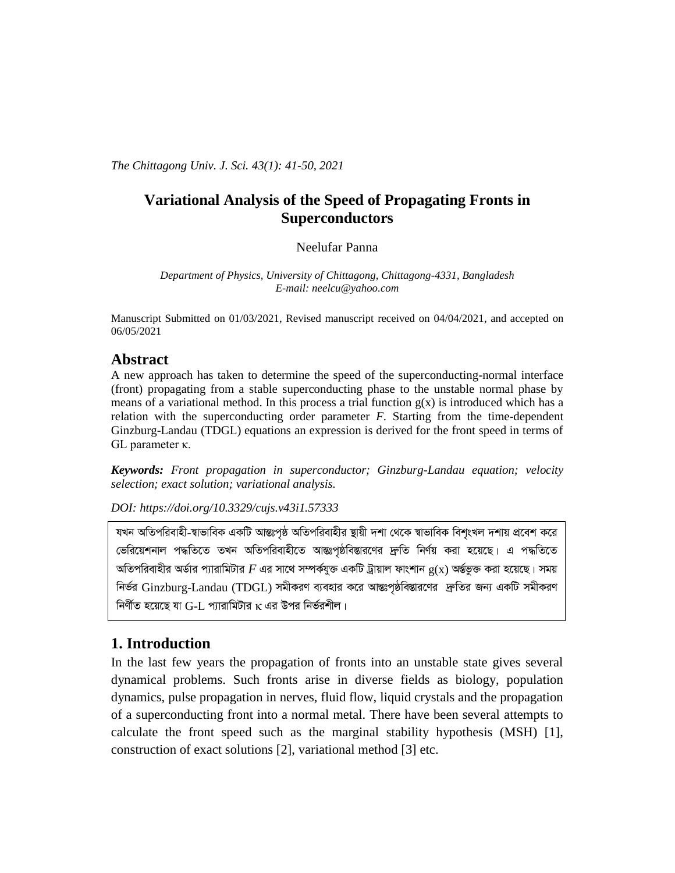The Chittagong Univ. J. Sci. 43(1): 41-50, 2021

# **Variational Analysis of the Speed of Propagating Fronts in Superconductors**

### Neelufar Panna

Department of Physics, University of Chittagong, Chittagong-4331, Bangladesh E-mail: neelcu@yahoo.com

Manuscript Submitted on 01/03/2021, Revised manuscript received on 04/04/2021, and accepted on 06/05/2021

## **Abstract**

A new approach has taken to determine the speed of the superconducting-normal interface (front) propagating from a stable superconducting phase to the unstable normal phase by means of a variational method. In this process a trial function  $g(x)$  is introduced which has a relation with the superconducting order parameter  $F$ . Starting from the time-dependent Ginzburg-Landau (TDGL) equations an expression is derived for the front speed in terms of  $GL$  parameter  $\kappa$ .

**Keywords:** Front propagation in superconductor; Ginzburg-Landau equation; velocity selection; exact solution; variational analysis.

DOI: https://doi.org/10.3329/cujs.v43i1.57333

যখন অতিপরিবাহী-স্বাভাবিক একটি আন্তঃপৃষ্ঠ অতিপরিবাহীর ষ্থায়ী দশা থেকে স্বাভাবিক বিশৃংখল দশায় প্রবেশ করে ভেরিয়েশনাল পদ্ধতিতে তখন অতিপরিবাহীতে আন্তঃপৃষ্ঠবিস্তারণের দ্রুতি নির্ণয় করা হয়েছে। এ পদ্ধতিতে অতিপরিবাহীর অর্ডার প্যারামিটার  $F$  এর সাথে সম্পর্কযুক্ত একটি ট্রায়াল ফাংশান  $\rm g(x)$  অর্ন্তভুক্ত করা হয়েছে। সময় নির্ভর Ginzburg-Landau (TDGL) সমীকরণ ব্যবহার করে আন্তঃপৃষ্ঠবিস্তারণের দ্রুতির জন্য একটি সমীকরণ নির্ণীত হয়েছে যা  $G-I$ ়প্যারামিটার  $\kappa$  এর উপর নির্ভরশীল।

# 1. Introduction

In the last few years the propagation of fronts into an unstable state gives several dynamical problems. Such fronts arise in diverse fields as biology, population dynamics, pulse propagation in nerves, fluid flow, liquid crystals and the propagation of a superconducting front into a normal metal. There have been several attempts to calculate the front speed such as the marginal stability hypothesis (MSH) [1], construction of exact solutions [2], variational method [3] etc.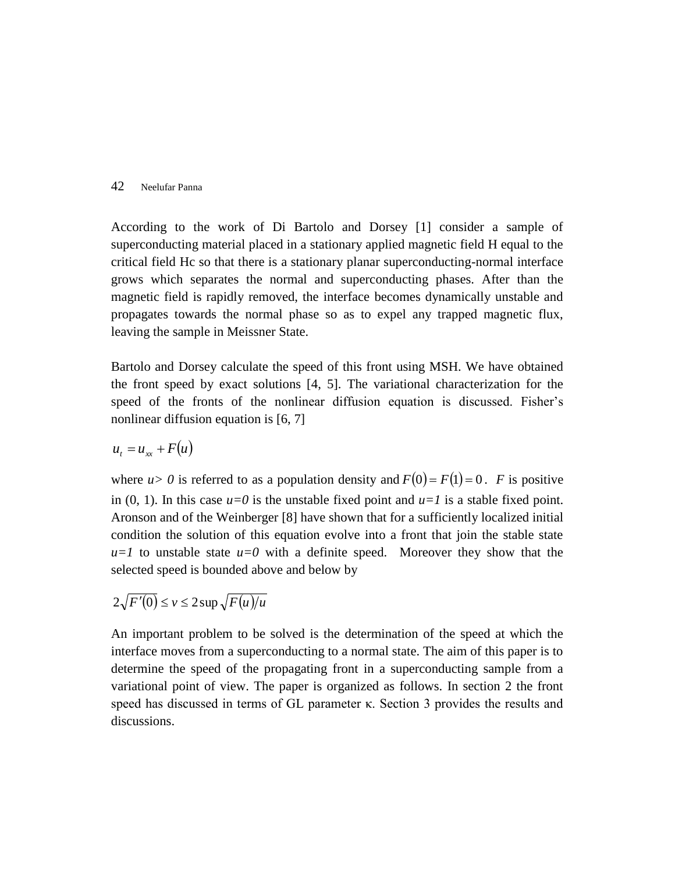According to the work of Di Bartolo and Dorsey [1] consider a sample of superconducting material placed in a stationary applied magnetic field H equal to the critical field Hc so that there is a stationary planar superconducting-normal interface grows which separates the normal and superconducting phases. After than the magnetic field is rapidly removed, the interface becomes dynamically unstable and propagates towards the normal phase so as to expel any trapped magnetic flux, leaving the sample in Meissner State.

Bartolo and Dorsey calculate the speed of this front using MSH. We have obtained the front speed by exact solutions [4, 5]. The variational characterization for the speed of the fronts of the nonlinear diffusion equation is discussed. Fisher's nonlinear diffusion equation is [6, 7]

$$
u_t = u_{xx} + F(u)
$$

where  $u > 0$  is referred to as a population density and  $F(0) = F(1) = 0$ . *F* is positive in  $(0, 1)$ . In this case  $u=0$  is the unstable fixed point and  $u=1$  is a stable fixed point. Aronson and of the Weinberger [8] have shown that for a sufficiently localized initial condition the solution of this equation evolve into a front that join the stable state  $u=1$  to unstable state  $u=0$  with a definite speed. Moreover they show that the selected speed is bounded above and below by

$$
2\sqrt{F'(0)} \le v \le 2\sup \sqrt{F(u)/u}
$$

An important problem to be solved is the determination of the speed at which the interface moves from a superconducting to a normal state. The aim of this paper is to determine the speed of the propagating front in a superconducting sample from a variational point of view. The paper is organized as follows. In section 2 the front speed has discussed in terms of GL parameter κ. Section 3 provides the results and discussions.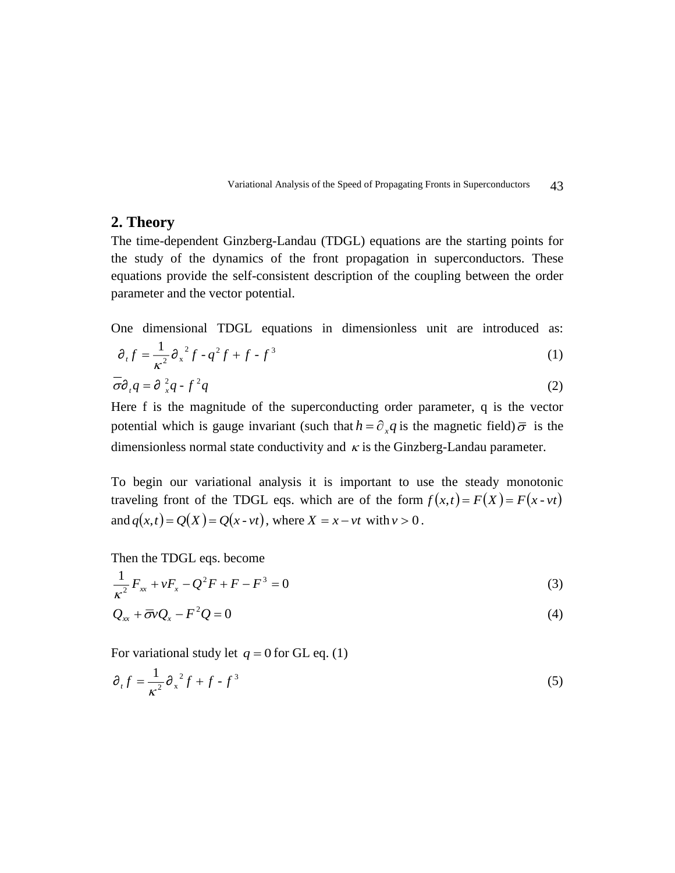Variational Analysis of the Speed of Propagating Fronts in Superconductors 43

### **2. Theory**

The time-dependent Ginzberg-Landau (TDGL) equations are the starting points for the study of the dynamics of the front propagation in superconductors. These equations provide the self-consistent description of the coupling between the order parameter and the vector potential.

One dimensional TDGL equations in dimensionless unit are introduced as:

$$
\partial_t f = \frac{1}{\kappa^2} \partial_x^2 f - q^2 f + f - f^3 \tag{1}
$$

$$
\overline{\sigma}\partial_t q = \partial_x^2 q - f^2 q \tag{2}
$$

Here f is the magnitude of the superconducting order parameter, q is the vector potential which is gauge invariant (such that  $h = \partial_x q$  is the magnetic field)  $\bar{\sigma}$  is the dimensionless normal state conductivity and  $\kappa$  is the Ginzberg-Landau parameter.

To begin our variational analysis it is important to use the steady monotonic traveling front of the TDGL eqs. which are of the form  $f(x,t) = F(X) = F(x - vt)$ and  $q(x,t) = Q(X) = Q(x - vt)$ , where  $X = x - vt$  with  $v > 0$ .

Then the TDGL eqs. become

$$
\frac{1}{\kappa^2} F_{xx} + vF_x - Q^2 F + F - F^3 = 0
$$
\n(3)

$$
Q_{xx} + \overline{\sigma} v Q_x - F^2 Q = 0 \tag{4}
$$

For variational study let  $q = 0$  for GL eq. (1)

$$
\partial_t f = \frac{1}{\kappa^2} \partial_x^2 f + f - f^3 \tag{5}
$$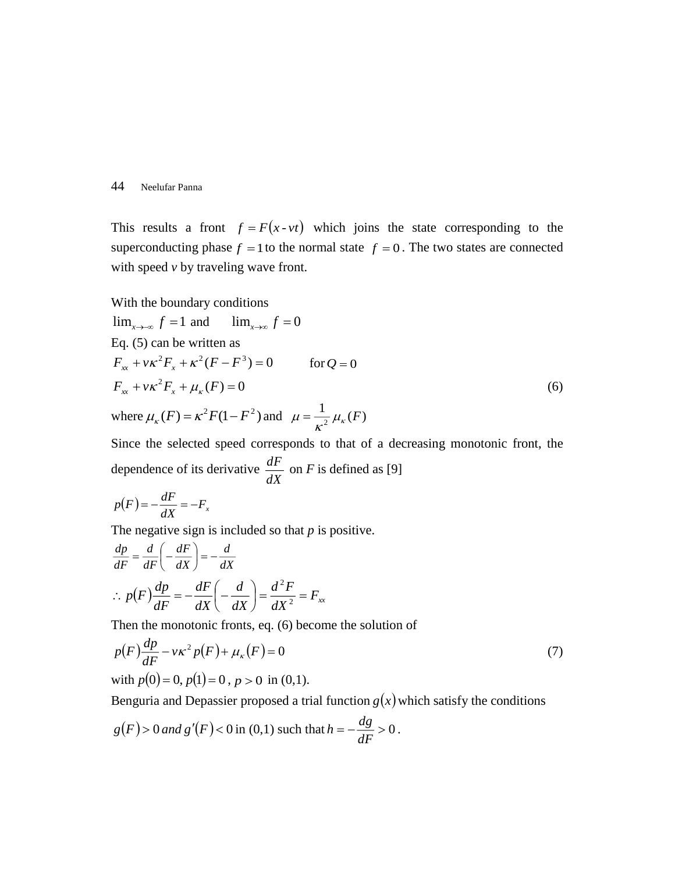This results a front  $f = F(x - vt)$  which joins the state corresponding to the superconducting phase  $f = 1$  to the normal state  $f = 0$ . The two states are connected with speed *v* by traveling wave front.

With the boundary conditions  
\n
$$
\lim_{x \to \infty} f = 1 \text{ and } \lim_{x \to \infty} f = 0
$$
\nEq. (5) can be written as  
\n
$$
F_{xx} + v\kappa^2 F_x + \kappa^2 (F - F^3) = 0 \qquad \text{for } Q = 0
$$
\n
$$
F_{xx} + v\kappa^2 F_x + \mu_\kappa (F) = 0
$$
\nwhere  $\mu_\kappa (F) = \kappa^2 F (1 - F^2)$  and  $\mu = \frac{1}{\kappa^2} \mu_\kappa (F)$  (6)

Since the selected speed corresponds to that of a decreasing monotonic front, the dependence of its derivative  $\frac{dX}{dX}$  $\frac{dF}{dx}$  on *F* is defined as [9]

$$
p(F) = -\frac{dF}{dX} = -F_x
$$

The negative sign is included so that *p* is positive.

$$
\frac{dp}{dF} = \frac{d}{dF} \left( -\frac{dF}{dX} \right) = -\frac{d}{dX}
$$
  
\n
$$
\therefore p(F) \frac{dp}{dF} = -\frac{dF}{dX} \left( -\frac{d}{dX} \right) = \frac{d^2F}{dX^2} = F_{xx}
$$

Then the monotonic fronts, eq. (6) become the solution of

$$
p(F)\frac{dp}{dF} - v\kappa^2 p(F) + \mu_{\kappa}(F) = 0
$$
\n(7)

with 
$$
p(0) = 0
$$
,  $p(1) = 0$ ,  $p > 0$  in (0,1).

Benguria and Depassier proposed a trial function  $g(x)$  which satisfy the conditions

$$
g(F) > 0
$$
 and  $g'(F) < 0$  in (0,1) such that  $h = -\frac{dg}{dF} > 0$ .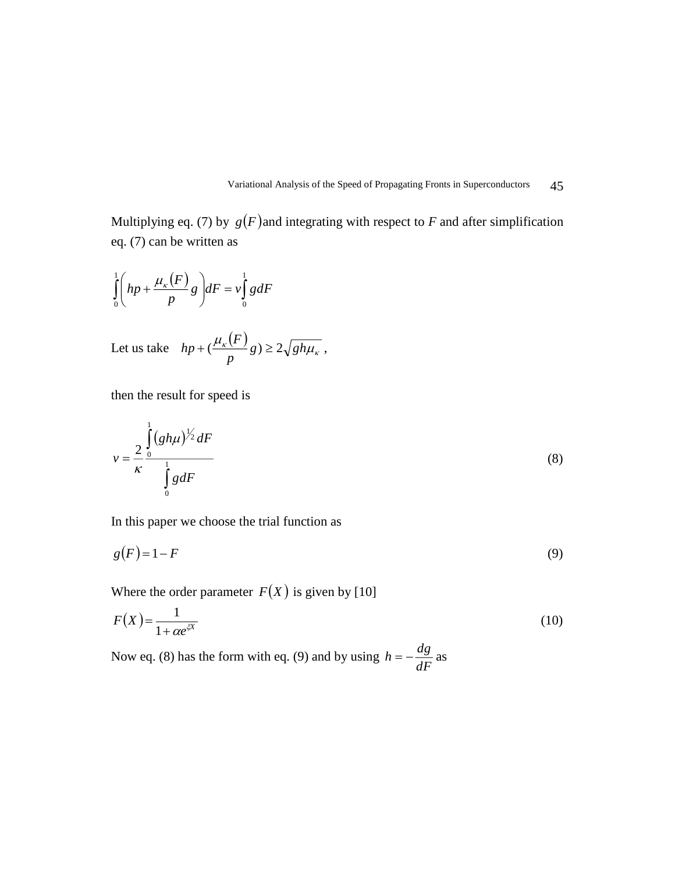Variational Analysis of the Speed of Propagating Fronts in Superconductors 45

Multiplying eq. (7) by  $g(F)$  and integrating with respect to F and after simplification eq. (7) can be written as

$$
\int_{0}^{1} \left( hp + \frac{\mu_{\kappa}(F)}{p} g \right) dF = v \int_{0}^{1} g dF
$$
\nLet us take  $hp + (\frac{\mu_{\kappa}(F)}{p} g) \ge 2\sqrt{gh\mu_{\kappa}}$ ,

then the result for speed is

$$
v = \frac{2}{\kappa} \frac{\int_{0}^{1} (gh\mu)^{\frac{1}{2}} dF}{\int_{0}^{1} g dF}
$$
 (8)

In this paper we choose the trial function as

$$
g(F) = 1 - F \tag{9}
$$

Where the order parameter  $F(X)$  is given by [10]

$$
F(X) = \frac{1}{1 + \alpha e^{\xi X}}\tag{10}
$$

Now eq. (8) has the form with eq. (9) and by using  $h = -\frac{dg}{dF}$  as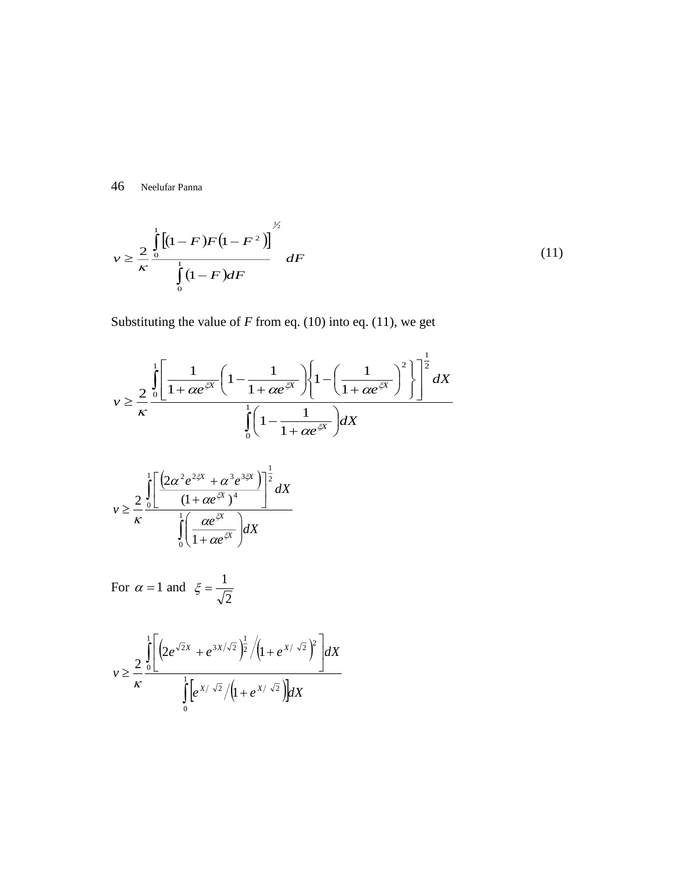$$
v \ge \frac{2}{\kappa} \frac{\int_{0}^{1} [(1 - F)F(1 - F^{2})]}{\int_{0}^{1} (1 - F) dF} dF
$$
 (11)

Substituting the value of  $F$  from eq. (10) into eq. (11), we get

$$
v \geq \frac{2}{\kappa} \frac{\int_{0}^{1} \left[ \frac{1}{1 + \alpha e^{\frac{zx}{\kappa}}} \left( 1 - \frac{1}{1 + \alpha e^{\frac{zx}{\kappa}}} \right) \left\{ 1 - \left( \frac{1}{1 + \alpha e^{\frac{zx}{\kappa}}} \right)^{2} \right\} \right]^{\frac{1}{2}} dX}{\int_{0}^{1} \left( 1 - \frac{1}{1 + \alpha e^{\frac{zx}{\kappa}}} \right) dX}
$$

$$
v \geq \frac{2}{\kappa} \frac{\int_{0}^{1} \left[ \frac{\left(2\alpha^{2} e^{2\xi X} + \alpha^{3} e^{3\xi X}}{(1 + \alpha e^{\xi X})^{4}} \right)^{\frac{1}{2}} dX}{\int_{0}^{1} \left( \frac{\alpha e^{\xi X}}{1 + \alpha e^{\xi X}} \right) dX}
$$

For 
$$
\alpha = 1
$$
 and  $\xi = \frac{1}{\sqrt{2}}$ 

$$
v \geq \frac{2}{\kappa} \frac{\int_{0}^{1} \left[ \left( 2e^{\sqrt{2}X} + e^{3X/\sqrt{2}} \right)^{\frac{1}{2}} / \left( 1 + e^{X/\sqrt{2}} \right)^{2} \right] dX}{\int_{0}^{1} \left[ e^{X/\sqrt{2}} / \left( 1 + e^{X/\sqrt{2}} \right) \right] dX}
$$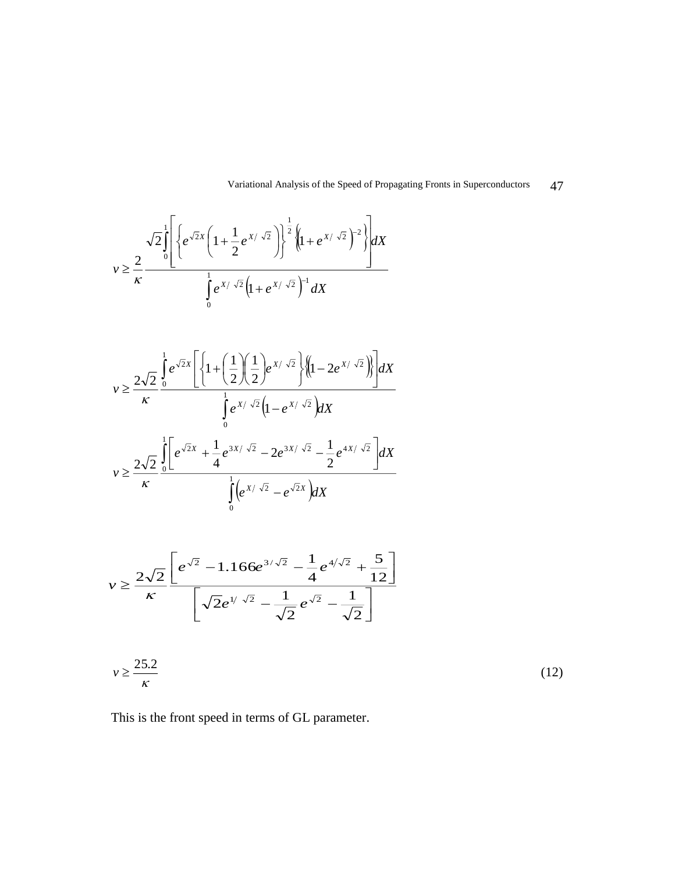Variational Analysis of the Speed of Propagating Fronts in Superconductors 47

$$
v \geq \frac{2}{\kappa} \frac{\sqrt{2} \int_{0}^1 \left\{ e^{\sqrt{2}X} \left( 1 + \frac{1}{2} e^{X/\sqrt{2}} \right) \right\}^{\frac{1}{2}} \left\{ \left( 1 + e^{X/\sqrt{2}} \right)^{-2} \right\}} \, dx}{\int_{0}^1 e^{X/\sqrt{2}} \left( 1 + e^{X/\sqrt{2}} \right)^{-1} \, dx}
$$

$$
v \geq \frac{2\sqrt{2}}{\kappa} \frac{\int_{0}^{1} e^{\sqrt{2}X} \left[ \left\{ 1 + \left( \frac{1}{2} \right) \left( \frac{1}{2} \right) e^{X/\sqrt{2}} \right\} \left\{ \left( 1 - 2e^{X/\sqrt{2}} \right) \right\} \right] dX}{\int_{0}^{1} e^{X/\sqrt{2}} \left( 1 - e^{X/\sqrt{2}} \right) dX}
$$

$$
v \geq \frac{2\sqrt{2}}{\kappa} \frac{\int_{0}^{1} \left[ e^{\sqrt{2}X} + \frac{1}{4} e^{3X/\sqrt{2}} - 2e^{3X/\sqrt{2}} - \frac{1}{2} e^{4X/\sqrt{2}} \right] dX}{\int_{0}^{1} \left( e^{X/\sqrt{2}} - e^{\sqrt{2}X} \right) dX}
$$

$$
v \ge \frac{2\sqrt{2}}{\kappa} \frac{\left[e^{\sqrt{2}} - 1.166e^{3/\sqrt{2}} - \frac{1}{4}e^{4/\sqrt{2}} + \frac{5}{12}\right]}{\left[\sqrt{2}e^{1/\sqrt{2}} - \frac{1}{\sqrt{2}}e^{\sqrt{2}} - \frac{1}{\sqrt{2}}\right]}
$$

$$
v \ge \frac{25.2}{\kappa} \tag{12}
$$

This is the front speed in terms of GL parameter.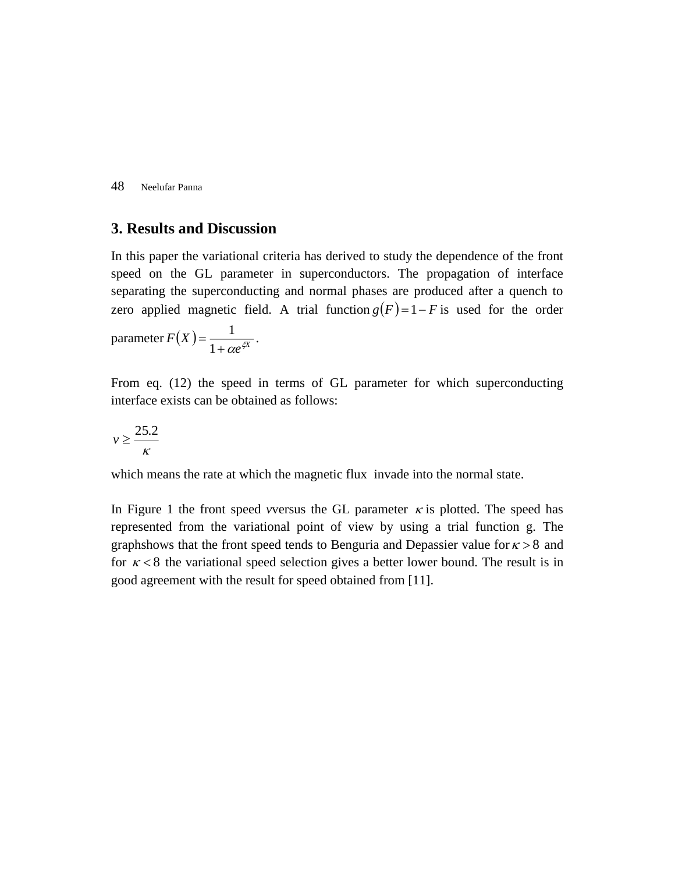## **3. Results and Discussion**

In this paper the variational criteria has derived to study the dependence of the front speed on the GL parameter in superconductors. The propagation of interface separating the superconducting and normal phases are produced after a quench to zero applied magnetic field. A trial function  $g(F) = 1 - F$  is used for the order  $\text{parameter } F(X) = \frac{1}{1 + \alpha e^{\xi X}}$  $\frac{1}{\sqrt{\frac{2V}{cV}}}$  .

From eq. (12) the speed in terms of GL parameter for which superconducting interface exists can be obtained as follows:

$$
v \geq \frac{25.2}{\kappa}
$$

which means the rate at which the magnetic flux invade into the normal state.

In Figure 1 the front speed *v*versus the GL parameter  $\kappa$  is plotted. The speed has represented from the variational point of view by using a trial function g. The graphshows that the front speed tends to Benguria and Depassier value for  $\kappa > 8$  and for  $\kappa < 8$  the variational speed selection gives a better lower bound. The result is in good agreement with the result for speed obtained from [11].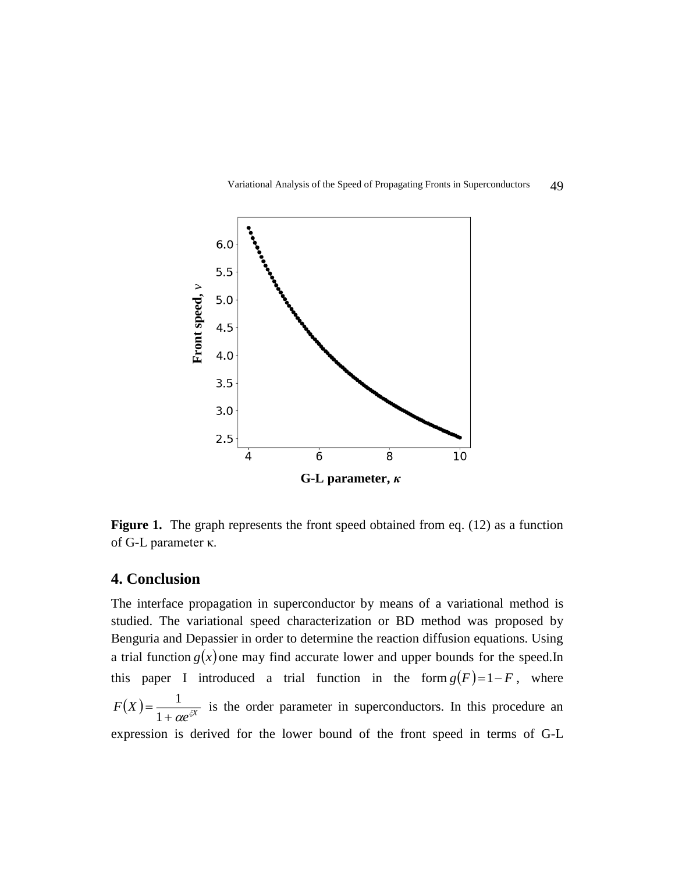



**Figure 1.** The graph represents the front speed obtained from eq. (12) as a function of G-L parameter κ.

# **4. Conclusion**

The interface propagation in superconductor by means of a variational method is studied. The variational speed characterization or BD method was proposed by Benguria and Depassier in order to determine the reaction diffusion equations. Using a trial function  $g(x)$  one may find accurate lower and upper bounds for the speed.In this paper I introduced a trial function in the form  $g(F) = 1 - F$ , where  $F(X) = \frac{1}{1 + \alpha e^{iX}}$  $\frac{1}{\alpha}$  is the order parameter in superconductors. In this procedure an